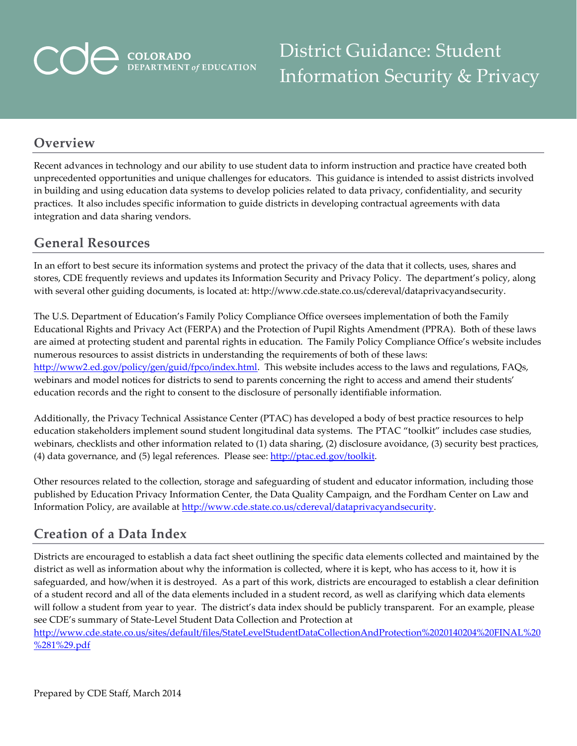# **COLORADO**<br>DEPARTMENT of EDUCATION

District Guidance: Student Information Security & Privacy

#### **Overview**

Recent advances in technology and our ability to use student data to inform instruction and practice have created both unprecedented opportunities and unique challenges for educators. This guidance is intended to assist districts involved in building and using education data systems to develop policies related to data privacy, confidentiality, and security practices. It also includes specific information to guide districts in developing contractual agreements with data integration and data sharing vendors.

#### **General Resources**

In an effort to best secure its information systems and protect the privacy of the data that it collects, uses, shares and stores, CDE frequently reviews and updates its Information Security and Privacy Policy. The department's policy, along with several other guiding documents, is located at: http://www.cde.state.co.us/cdereval/dataprivacyandsecurity.

The U.S. Department of Education's Family Policy Compliance Office oversees implementation of both the Family Educational Rights and Privacy Act (FERPA) and the Protection of Pupil Rights Amendment (PPRA). Both of these laws are aimed at protecting student and parental rights in education. The Family Policy Compliance Office's website includes numerous resources to assist districts in understanding the requirements of both of these laws: [http://www2.ed.gov/policy/gen/guid/fpco/index.html.](http://www2.ed.gov/policy/gen/guid/fpco/index.html) This website includes access to the laws and regulations, FAQs, webinars and model notices for districts to send to parents concerning the right to access and amend their students' education records and the right to consent to the disclosure of personally identifiable information.

Additionally, the Privacy Technical Assistance Center (PTAC) has developed a body of best practice resources to help education stakeholders implement sound student longitudinal data systems. The PTAC "toolkit" includes case studies, webinars, checklists and other information related to (1) data sharing, (2) disclosure avoidance, (3) security best practices, (4) data governance, and (5) legal references. Please see: [http://ptac.ed.gov/toolkit.](http://ptac.ed.gov/toolkit)

Other resources related to the collection, storage and safeguarding of student and educator information, including those published by Education Privacy Information Center, the Data Quality Campaign, and the Fordham Center on Law and Information Policy, are available at [http://www.cde.state.co.us/cdereval/dataprivacyandsecurity.](http://www.cde.state.co.us/cdereval/dataprivacyandsecurity)

#### **Creation of a Data Index**

Districts are encouraged to establish a data fact sheet outlining the specific data elements collected and maintained by the district as well as information about why the information is collected, where it is kept, who has access to it, how it is safeguarded, and how/when it is destroyed. As a part of this work, districts are encouraged to establish a clear definition of a student record and all of the data elements included in a student record, as well as clarifying which data elements will follow a student from year to year. The district's data index should be publicly transparent. For an example, please see CDE's summary of State-Level Student Data Collection and Protection at

[http://www.cde.state.co.us/sites/default/files/StateLevelStudentDataCollectionAndProtection%2020140204%20FINAL%20](http://www.cde.state.co.us/sites/default/files/StateLevelStudentDataCollectionAndProtection%2020140204%20FINAL%20%281%29.pdf) [%281%29.pdf](http://www.cde.state.co.us/sites/default/files/StateLevelStudentDataCollectionAndProtection%2020140204%20FINAL%20%281%29.pdf)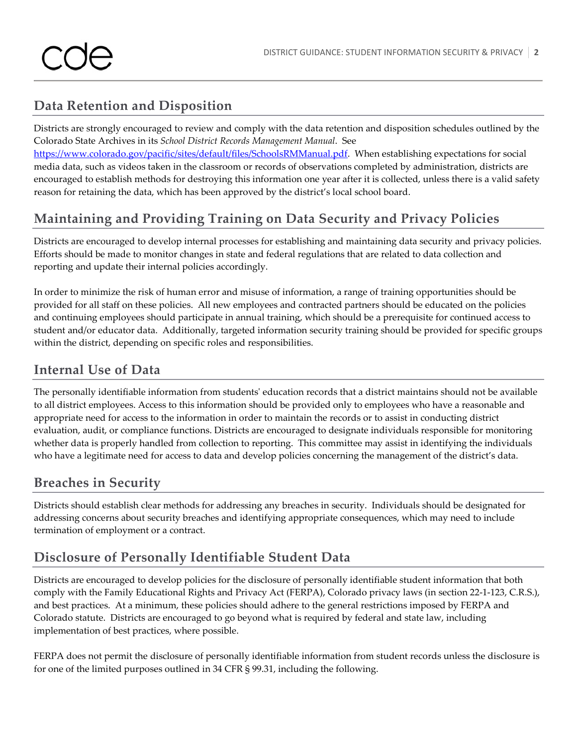# **Data Retention and Disposition**

Districts are strongly encouraged to review and comply with the data retention and disposition schedules outlined by the Colorado State Archives in its *School District Records Management Manual*. See

[https://www.colorado.gov/pacific/sites/default/files/SchoolsRMManual.pdf.](https://www.colorado.gov/pacific/sites/default/files/SchoolsRMManual.pdf) When establishing expectations for social media data, such as videos taken in the classroom or records of observations completed by administration, districts are encouraged to establish methods for destroying this information one year after it is collected, unless there is a valid safety reason for retaining the data, which has been approved by the district's local school board.

# **Maintaining and Providing Training on Data Security and Privacy Policies**

Districts are encouraged to develop internal processes for establishing and maintaining data security and privacy policies. Efforts should be made to monitor changes in state and federal regulations that are related to data collection and reporting and update their internal policies accordingly.

In order to minimize the risk of human error and misuse of information, a range of training opportunities should be provided for all staff on these policies. All new employees and contracted partners should be educated on the policies and continuing employees should participate in annual training, which should be a prerequisite for continued access to student and/or educator data. Additionally, targeted information security training should be provided for specific groups within the district, depending on specific roles and responsibilities.

# **Internal Use of Data**

The personally identifiable information from students' education records that a district maintains should not be available to all district employees. Access to this information should be provided only to employees who have a reasonable and appropriate need for access to the information in order to maintain the records or to assist in conducting district evaluation, audit, or compliance functions. Districts are encouraged to designate individuals responsible for monitoring whether data is properly handled from collection to reporting. This committee may assist in identifying the individuals who have a legitimate need for access to data and develop policies concerning the management of the district's data.

# **Breaches in Security**

Districts should establish clear methods for addressing any breaches in security. Individuals should be designated for addressing concerns about security breaches and identifying appropriate consequences, which may need to include termination of employment or a contract.

# **Disclosure of Personally Identifiable Student Data**

Districts are encouraged to develop policies for the disclosure of personally identifiable student information that both comply with the Family Educational Rights and Privacy Act (FERPA), Colorado privacy laws (in section 22-1-123, C.R.S.), and best practices. At a minimum, these policies should adhere to the general restrictions imposed by FERPA and Colorado statute. Districts are encouraged to go beyond what is required by federal and state law, including implementation of best practices, where possible.

FERPA does not permit the disclosure of personally identifiable information from student records unless the disclosure is for one of the limited purposes outlined in 34 CFR § 99.31, including the following.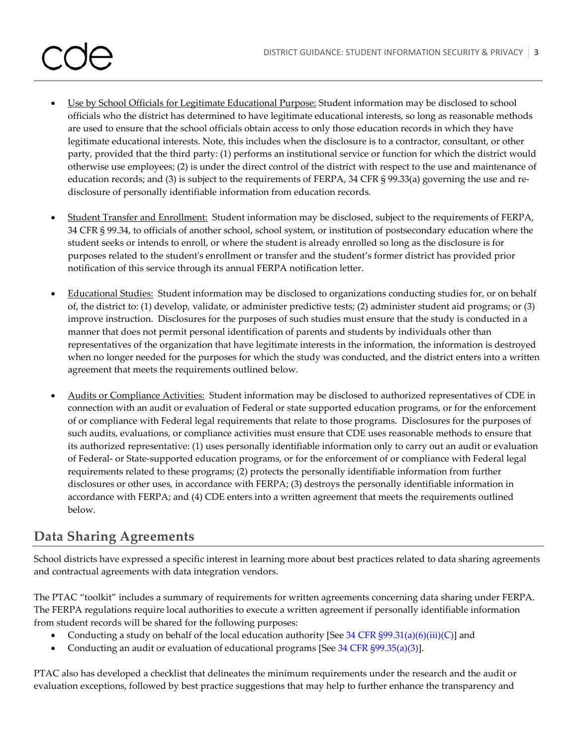- Use by School Officials for Legitimate Educational Purpose: Student information may be disclosed to school officials who the district has determined to have legitimate educational interests, so long as reasonable methods are used to ensure that the school officials obtain access to only those education records in which they have legitimate educational interests. Note, this includes when the disclosure is to a contractor, consultant, or other party, provided that the third party: (1) performs an institutional service or function for which the district would otherwise use employees; (2) is under the direct control of the district with respect to the use and maintenance of education records; and (3) is subject to the requirements of FERPA, 34 CFR § 99.33(a) governing the use and redisclosure of personally identifiable information from education records.
- Student Transfer and Enrollment: Student information may be disclosed, subject to the requirements of FERPA, 34 CFR § 99.34, to officials of another school, school system, or institution of postsecondary education where the student seeks or intends to enroll, or where the student is already enrolled so long as the disclosure is for purposes related to the student's enrollment or transfer and the student's former district has provided prior notification of this service through its annual FERPA notification letter.
- Educational Studies: Student information may be disclosed to organizations conducting studies for, or on behalf of, the district to: (1) develop, validate, or administer predictive tests; (2) administer student aid programs; or (3) improve instruction. Disclosures for the purposes of such studies must ensure that the study is conducted in a manner that does not permit personal identification of parents and students by individuals other than representatives of the organization that have legitimate interests in the information, the information is destroyed when no longer needed for the purposes for which the study was conducted, and the district enters into a written agreement that meets the requirements outlined below.
- Audits or Compliance Activities: Student information may be disclosed to authorized representatives of CDE in connection with an audit or evaluation of Federal or state supported education programs, or for the enforcement of or compliance with Federal legal requirements that relate to those programs. Disclosures for the purposes of such audits, evaluations, or compliance activities must ensure that CDE uses reasonable methods to ensure that its authorized representative: (1) uses personally identifiable information only to carry out an audit or evaluation of Federal- or State-supported education programs, or for the enforcement of or compliance with Federal legal requirements related to these programs; (2) protects the personally identifiable information from further disclosures or other uses, in accordance with FERPA; (3) destroys the personally identifiable information in accordance with FERPA; and (4) CDE enters into a written agreement that meets the requirements outlined below.

# **Data Sharing Agreements**

School districts have expressed a specific interest in learning more about best practices related to data sharing agreements and contractual agreements with data integration vendors.

The PTAC "toolkit" includes a summary of requirements for written agreements concerning data sharing under FERPA. The FERPA regulations require local authorities to execute a written agreement if personally identifiable information from student records will be shared for the following purposes:

- Conducting a study on behalf of the local education authority [See 34 CFR  $\S99.31(a)(6)(iii)(C)$ ] and
- Conducting an audit or evaluation of educational programs [See 34 CFR §99.35(a)(3)].

PTAC also has developed a checklist that delineates the minimum requirements under the research and the audit or evaluation exceptions, followed by best practice suggestions that may help to further enhance the transparency and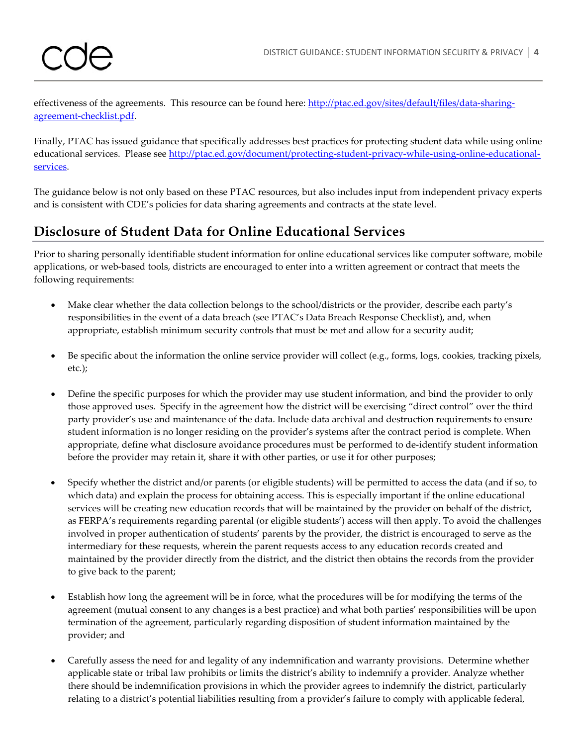effectiveness of the agreements. This resource can be found here: [http://ptac.ed.gov/sites/default/files/data-sharing](http://ptac.ed.gov/sites/default/files/data-sharing-agreement-checklist.pdf)[agreement-checklist.pdf.](http://ptac.ed.gov/sites/default/files/data-sharing-agreement-checklist.pdf)

Finally, PTAC has issued guidance that specifically addresses best practices for protecting student data while using online educational services. Please see [http://ptac.ed.gov/document/protecting-student-privacy-while-using-online-educational](http://ptac.ed.gov/document/protecting-student-privacy-while-using-online-educational-services)[services.](http://ptac.ed.gov/document/protecting-student-privacy-while-using-online-educational-services)

The guidance below is not only based on these PTAC resources, but also includes input from independent privacy experts and is consistent with CDE's policies for data sharing agreements and contracts at the state level.

# **Disclosure of Student Data for Online Educational Services**

Prior to sharing personally identifiable student information for online educational services like computer software, mobile applications, or web-based tools, districts are encouraged to enter into a written agreement or contract that meets the following requirements:

- Make clear whether the data collection belongs to the school/districts or the provider, describe each party's responsibilities in the event of a data breach (see PTAC's Data Breach Response Checklist), and, when appropriate, establish minimum security controls that must be met and allow for a security audit;
- Be specific about the information the online service provider will collect (e.g., forms, logs, cookies, tracking pixels, etc.);
- Define the specific purposes for which the provider may use student information, and bind the provider to only those approved uses. Specify in the agreement how the district will be exercising "direct control" over the third party provider's use and maintenance of the data. Include data archival and destruction requirements to ensure student information is no longer residing on the provider's systems after the contract period is complete. When appropriate, define what disclosure avoidance procedures must be performed to de-identify student information before the provider may retain it, share it with other parties, or use it for other purposes;
- Specify whether the district and/or parents (or eligible students) will be permitted to access the data (and if so, to which data) and explain the process for obtaining access. This is especially important if the online educational services will be creating new education records that will be maintained by the provider on behalf of the district, as FERPA's requirements regarding parental (or eligible students') access will then apply. To avoid the challenges involved in proper authentication of students' parents by the provider, the district is encouraged to serve as the intermediary for these requests, wherein the parent requests access to any education records created and maintained by the provider directly from the district, and the district then obtains the records from the provider to give back to the parent;
- Establish how long the agreement will be in force, what the procedures will be for modifying the terms of the agreement (mutual consent to any changes is a best practice) and what both parties' responsibilities will be upon termination of the agreement, particularly regarding disposition of student information maintained by the provider; and
- Carefully assess the need for and legality of any indemnification and warranty provisions. Determine whether applicable state or tribal law prohibits or limits the district's ability to indemnify a provider. Analyze whether there should be indemnification provisions in which the provider agrees to indemnify the district, particularly relating to a district's potential liabilities resulting from a provider's failure to comply with applicable federal,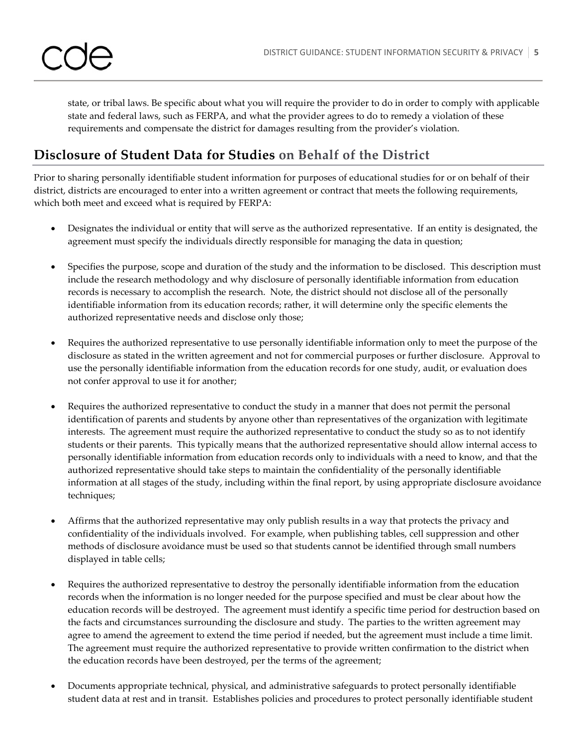

state, or tribal laws. Be specific about what you will require the provider to do in order to comply with applicable state and federal laws, such as FERPA, and what the provider agrees to do to remedy a violation of these requirements and compensate the district for damages resulting from the provider's violation.

# **Disclosure of Student Data for Studies on Behalf of the District**

Prior to sharing personally identifiable student information for purposes of educational studies for or on behalf of their district, districts are encouraged to enter into a written agreement or contract that meets the following requirements, which both meet and exceed what is required by FERPA:

- Designates the individual or entity that will serve as the authorized representative. If an entity is designated, the agreement must specify the individuals directly responsible for managing the data in question;
- Specifies the purpose, scope and duration of the study and the information to be disclosed. This description must include the research methodology and why disclosure of personally identifiable information from education records is necessary to accomplish the research. Note, the district should not disclose all of the personally identifiable information from its education records; rather, it will determine only the specific elements the authorized representative needs and disclose only those;
- Requires the authorized representative to use personally identifiable information only to meet the purpose of the disclosure as stated in the written agreement and not for commercial purposes or further disclosure. Approval to use the personally identifiable information from the education records for one study, audit, or evaluation does not confer approval to use it for another;
- Requires the authorized representative to conduct the study in a manner that does not permit the personal identification of parents and students by anyone other than representatives of the organization with legitimate interests. The agreement must require the authorized representative to conduct the study so as to not identify students or their parents. This typically means that the authorized representative should allow internal access to personally identifiable information from education records only to individuals with a need to know, and that the authorized representative should take steps to maintain the confidentiality of the personally identifiable information at all stages of the study, including within the final report, by using appropriate disclosure avoidance techniques;
- Affirms that the authorized representative may only publish results in a way that protects the privacy and confidentiality of the individuals involved. For example, when publishing tables, cell suppression and other methods of disclosure avoidance must be used so that students cannot be identified through small numbers displayed in table cells;
- Requires the authorized representative to destroy the personally identifiable information from the education records when the information is no longer needed for the purpose specified and must be clear about how the education records will be destroyed. The agreement must identify a specific time period for destruction based on the facts and circumstances surrounding the disclosure and study. The parties to the written agreement may agree to amend the agreement to extend the time period if needed, but the agreement must include a time limit. The agreement must require the authorized representative to provide written confirmation to the district when the education records have been destroyed, per the terms of the agreement;
- Documents appropriate technical, physical, and administrative safeguards to protect personally identifiable student data at rest and in transit. Establishes policies and procedures to protect personally identifiable student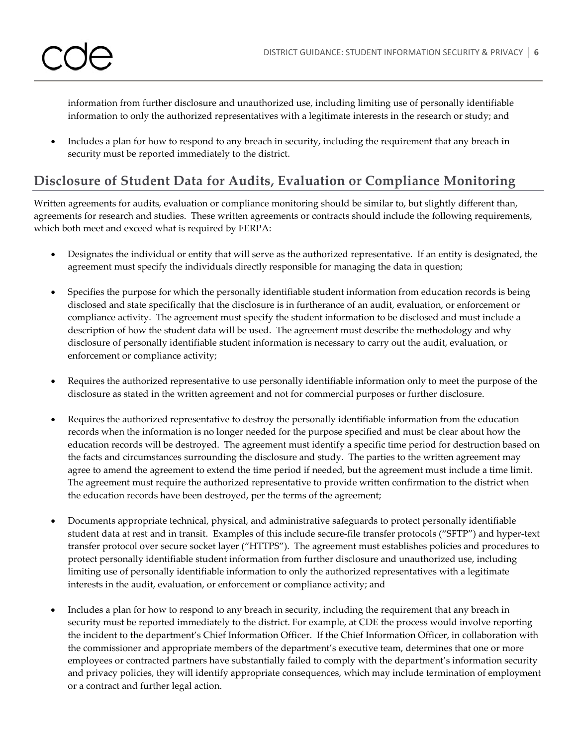

information from further disclosure and unauthorized use, including limiting use of personally identifiable information to only the authorized representatives with a legitimate interests in the research or study; and

• Includes a plan for how to respond to any breach in security, including the requirement that any breach in security must be reported immediately to the district.

# **Disclosure of Student Data for Audits, Evaluation or Compliance Monitoring**

Written agreements for audits, evaluation or compliance monitoring should be similar to, but slightly different than, agreements for research and studies. These written agreements or contracts should include the following requirements, which both meet and exceed what is required by FERPA:

- Designates the individual or entity that will serve as the authorized representative. If an entity is designated, the agreement must specify the individuals directly responsible for managing the data in question;
- Specifies the purpose for which the personally identifiable student information from education records is being disclosed and state specifically that the disclosure is in furtherance of an audit, evaluation, or enforcement or compliance activity. The agreement must specify the student information to be disclosed and must include a description of how the student data will be used. The agreement must describe the methodology and why disclosure of personally identifiable student information is necessary to carry out the audit, evaluation, or enforcement or compliance activity;
- Requires the authorized representative to use personally identifiable information only to meet the purpose of the disclosure as stated in the written agreement and not for commercial purposes or further disclosure.
- Requires the authorized representative to destroy the personally identifiable information from the education records when the information is no longer needed for the purpose specified and must be clear about how the education records will be destroyed. The agreement must identify a specific time period for destruction based on the facts and circumstances surrounding the disclosure and study. The parties to the written agreement may agree to amend the agreement to extend the time period if needed, but the agreement must include a time limit. The agreement must require the authorized representative to provide written confirmation to the district when the education records have been destroyed, per the terms of the agreement;
- Documents appropriate technical, physical, and administrative safeguards to protect personally identifiable student data at rest and in transit. Examples of this include secure-file transfer protocols ("SFTP") and hyper-text transfer protocol over secure socket layer ("HTTPS"). The agreement must establishes policies and procedures to protect personally identifiable student information from further disclosure and unauthorized use, including limiting use of personally identifiable information to only the authorized representatives with a legitimate interests in the audit, evaluation, or enforcement or compliance activity; and
- Includes a plan for how to respond to any breach in security, including the requirement that any breach in security must be reported immediately to the district. For example, at CDE the process would involve reporting the incident to the department's Chief Information Officer. If the Chief Information Officer, in collaboration with the commissioner and appropriate members of the department's executive team, determines that one or more employees or contracted partners have substantially failed to comply with the department's information security and privacy policies, they will identify appropriate consequences, which may include termination of employment or a contract and further legal action.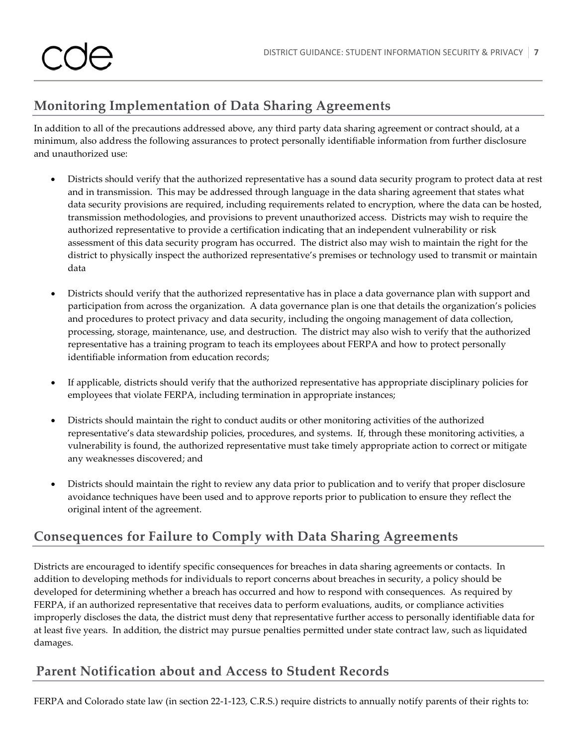# **Monitoring Implementation of Data Sharing Agreements**

In addition to all of the precautions addressed above, any third party data sharing agreement or contract should, at a minimum, also address the following assurances to protect personally identifiable information from further disclosure and unauthorized use:

- Districts should verify that the authorized representative has a sound data security program to protect data at rest and in transmission. This may be addressed through language in the data sharing agreement that states what data security provisions are required, including requirements related to encryption, where the data can be hosted, transmission methodologies, and provisions to prevent unauthorized access. Districts may wish to require the authorized representative to provide a certification indicating that an independent vulnerability or risk assessment of this data security program has occurred. The district also may wish to maintain the right for the district to physically inspect the authorized representative's premises or technology used to transmit or maintain data
- Districts should verify that the authorized representative has in place a data governance plan with support and participation from across the organization. A data governance plan is one that details the organization's policies and procedures to protect privacy and data security, including the ongoing management of data collection, processing, storage, maintenance, use, and destruction. The district may also wish to verify that the authorized representative has a training program to teach its employees about FERPA and how to protect personally identifiable information from education records;
- If applicable, districts should verify that the authorized representative has appropriate disciplinary policies for employees that violate FERPA, including termination in appropriate instances;
- Districts should maintain the right to conduct audits or other monitoring activities of the authorized representative's data stewardship policies, procedures, and systems. If, through these monitoring activities, a vulnerability is found, the authorized representative must take timely appropriate action to correct or mitigate any weaknesses discovered; and
- Districts should maintain the right to review any data prior to publication and to verify that proper disclosure avoidance techniques have been used and to approve reports prior to publication to ensure they reflect the original intent of the agreement.

# **Consequences for Failure to Comply with Data Sharing Agreements**

Districts are encouraged to identify specific consequences for breaches in data sharing agreements or contacts. In addition to developing methods for individuals to report concerns about breaches in security, a policy should be developed for determining whether a breach has occurred and how to respond with consequences. As required by FERPA, if an authorized representative that receives data to perform evaluations, audits, or compliance activities improperly discloses the data, the district must deny that representative further access to personally identifiable data for at least five years. In addition, the district may pursue penalties permitted under state contract law, such as liquidated damages.

# **Parent Notification about and Access to Student Records**

FERPA and Colorado state law (in section 22-1-123, C.R.S.) require districts to annually notify parents of their rights to: